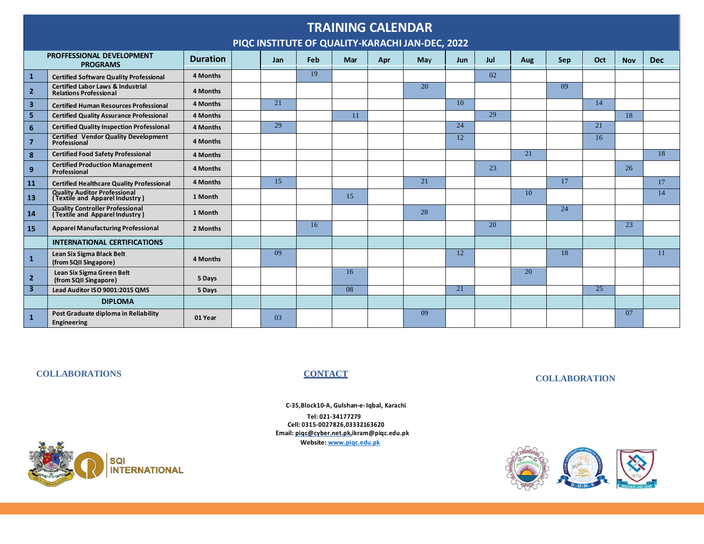| <b>TRAINING CALENDAR</b><br>PIQC INSTITUTE OF QUALITY-KARACHI JAN-DEC, 2022 |                                                                               |                 |  |     |                 |     |     |     |                 |     |     |     |                 |            |            |
|-----------------------------------------------------------------------------|-------------------------------------------------------------------------------|-----------------|--|-----|-----------------|-----|-----|-----|-----------------|-----|-----|-----|-----------------|------------|------------|
|                                                                             | PROFFESSIONAL DEVELOPMENT<br><b>PROGRAMS</b>                                  | <b>Duration</b> |  | Jan | Feb             | Mar | Apr | May | Jun             | Jul | Aug | Sep | Oct             | <b>Nov</b> | <b>Dec</b> |
| $\mathbf{1}$                                                                | <b>Certified Software Quality Professional</b>                                | 4 Months        |  |     | 19              |     |     |     |                 | 02  |     |     |                 |            |            |
| $\overline{2}$                                                              | <b>Certified Labor Laws &amp; Industrial</b><br><b>Relations Professional</b> | 4 Months        |  |     |                 |     |     | 20  |                 |     |     | 09  |                 |            |            |
| 3                                                                           | <b>Certified Human Resources Professional</b>                                 | 4 Months        |  | 21  |                 |     |     |     | 10              |     |     |     | 14              |            |            |
| 5                                                                           | <b>Certified Quality Assurance Professional</b>                               | 4 Months        |  |     |                 | 11  |     |     |                 | 29  |     |     |                 | 18         |            |
| 6                                                                           | <b>Certified Quality Inspection Professional</b>                              | 4 Months        |  | 29  |                 |     |     |     | 24              |     |     |     | 21              |            |            |
| $\overline{7}$                                                              | <b>Certified Vendor Quality Development</b><br>Professional                   | 4 Months        |  |     |                 |     |     |     | 12              |     |     |     | 16              |            |            |
| 8                                                                           | <b>Certified Food Safety Professional</b>                                     | 4 Months        |  |     |                 |     |     |     |                 |     | 21  |     |                 |            | 18         |
| 9                                                                           | <b>Certified Production Management</b><br>Professional                        | 4 Months        |  |     |                 |     |     |     |                 | 23  |     |     |                 | 26         |            |
| 11                                                                          | <b>Certified Healthcare Quality Professional</b>                              | 4 Months        |  | 15  |                 |     |     | 21  |                 |     |     | 17  |                 |            | 17         |
| 13                                                                          | <b>Quality Auditor Professional</b><br>(Textile and Apparel Industry)         | 1 Month         |  |     |                 | 15  |     |     |                 |     | 10  |     |                 |            | 14         |
| 14                                                                          | <b>Quality Controller Professional (Textile and Apparel Industry)</b>         | 1 Month         |  |     |                 |     |     | 28  |                 |     |     | 24  |                 |            |            |
| 15                                                                          | <b>Apparel Manufacturing Professional</b>                                     | 2 Months        |  |     | 16 <sup>2</sup> |     |     |     |                 | 20  |     |     |                 | 23         |            |
|                                                                             | <b>INTERNATIONAL CERTIFICATIONS</b>                                           |                 |  |     |                 |     |     |     |                 |     |     |     |                 |            |            |
| $\mathbf{1}$                                                                | Lean Six Sigma Black Belt<br>(from SQII Singapore)                            | 4 Months        |  | 09  |                 |     |     |     | 12              |     |     | 18  |                 |            | 11         |
| $\overline{2}$                                                              | Lean Six Sigma Green Belt<br>(from SQII Singapore)                            | 5 Days          |  |     |                 | 16  |     |     |                 |     | 20  |     |                 |            |            |
| 3                                                                           | Lead Auditor ISO 9001:2015 QMS                                                | 5 Days          |  |     |                 | 08  |     |     | $\overline{21}$ |     |     |     | $\overline{25}$ |            |            |
|                                                                             | <b>DIPLOMA</b>                                                                |                 |  |     |                 |     |     |     |                 |     |     |     |                 |            |            |
| $\mathbf{1}$                                                                | Post Graduate diploma in Reliability<br>Engineering                           | 01 Year         |  | 03  |                 |     |     | 09  |                 |     |     |     |                 | 07         |            |

## **COLLABORATIONS CONTACT**

## **COLLABORATION**

**C-35,Block10-A, Gulshan-e-Iqbal, Karachi Tel: 021-34177279 Cell: 0315-0027826,03332163620 Email: [piqc@cyber.net.pk,i](mailto:piqc@cyber.net.pk)[kram@piqc.edu](mailto:am@piqc.ed).pk Website: [www.piqc.edu.pk](http://www.piqc.edu.pk/)**